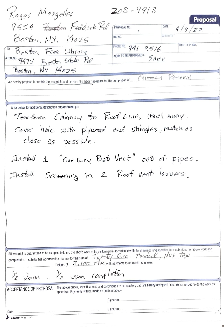$208 - 9918$ Koges Mosgelles Proposal 9554 Boston Feddick Rd DATE PROPOSAL NO  $4/9/77$  $\sqrt{2}$ ARCHITECT Boston, NY. 19025 **BID NO** DATE OF PLANS PHONE NO. 941 3516 Boston Free Library WORK TO BE PERFORMED AT *Same* ADDRESS 9475 Roston Stake Pd ΝY  $14025$ Boston, Chimney Removal We hereby propose to furnish the materials and perform the labor necessary for the completion of Area below for additional description and/or drawings: Teardown Chimney to Root Line, Haul anay. Cover hole with plyward and shingles, match as close as possible. Install 1 "One Way Bat Vent" out of pipes. Install Screening In 2 Roof vent louvers. All material is guaranteed to be as specified, and the above work to be performed in accordance with the drawings and specifications submitted for above work and completed in a substantial workmanlike manner for the sum o Dollars (\$ 2,  $100 + 7$  with payments to be made as follows /z upon completion /2 down ACCEPTANCE OF PROPOSAL The above prices, specifications, and conditions are satisfactory and are hereby accepted. You are authorized to do the work as specified. Payments will be made as outlined above Signature Signature Date  $11 - 12$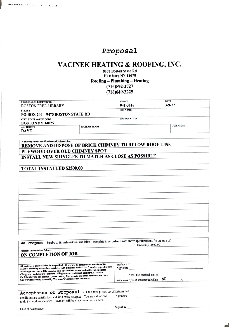## Proposal

## VACINEK HEATING & ROOFING, INC.

8038 Boston State Rd Hamburg NY 14075 Roofing - Plumbing - Heating  $(716)592 - 2727$  $(716)649 - 3225$ 

| PROPOSAL SUBMITTED TO<br><b>BOSTON FREE LIBRARY</b>       |                      | <b>PHONE</b><br>941-3516 | <b>DATE</b><br>$3 - 9 - 22$ |
|-----------------------------------------------------------|----------------------|--------------------------|-----------------------------|
| <b>STREET</b><br>PO BOX 200 9475 BOSTON STATE RD          |                      | <b>JOB NAME</b>          |                             |
| <b>CITY, STATE and ZIP CODE</b><br><b>BOSTON NY 14025</b> |                      | <b>JOB LOCATION</b>      |                             |
| <b>ARCHITECT</b><br><b>DAVE</b>                           | <b>DATE OF PLANS</b> |                          | <b>JOB PHONE</b>            |

We hereby submit specifications and estimates for: REMOVE AND DISPOSE OF BRICK CHIMNEY TO BELOW ROOF LINE PLYWOOD OVER OLD CHIMNEY SPOT **INSTALL NEW SHINGLES TO MATCH AS CLOSE AS POSSIBLE** 

## **TOTAL INSTALLED \$2500.00**

 $A$  As organization

| hereby to furnish material and labor - complete in accordance with above specifications, for the sum of:<br>We Propose                                                                                                                                                                                                                                                                                                                                                                                                                             | Dollars (\$ 2500.00                                                                                            |
|----------------------------------------------------------------------------------------------------------------------------------------------------------------------------------------------------------------------------------------------------------------------------------------------------------------------------------------------------------------------------------------------------------------------------------------------------------------------------------------------------------------------------------------------------|----------------------------------------------------------------------------------------------------------------|
| Payment to be made as follows:<br>ON COMPLETION OF JOB                                                                                                                                                                                                                                                                                                                                                                                                                                                                                             |                                                                                                                |
| All material is guaranteed to be as specified. All work to be completed in a workmanlike<br>Manner according to standard practices. Any alteration or deviation from above specifications<br>Involving extra costs will be executed only upon written orders, and will become an extra<br>Charge over and above the estimate. All agreements contingent upon strikes, accidents<br>Or delays beyond our control. Owner to carry fire, tornado and other necessary insurance.<br>Our workers are fully covered by Workman's Compensation Insurance. | Authorized<br>Signature<br>Note: This proposal may be<br>60<br>days.<br>Withdrawn by us if not accepted within |

| Acceptance of Proposal - The above prices, specifications and<br>conditions are satisfactory and are hereby accepted. You are authorized<br>to do the work as specified. Payment will be made as outlined above. | Signature |
|------------------------------------------------------------------------------------------------------------------------------------------------------------------------------------------------------------------|-----------|
| Date of Acceptance:                                                                                                                                                                                              | Signature |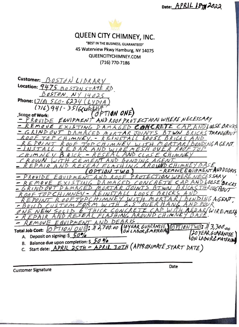Date:  $APRIL$   $BTH2022$ 



**Customer Signature** 

Date